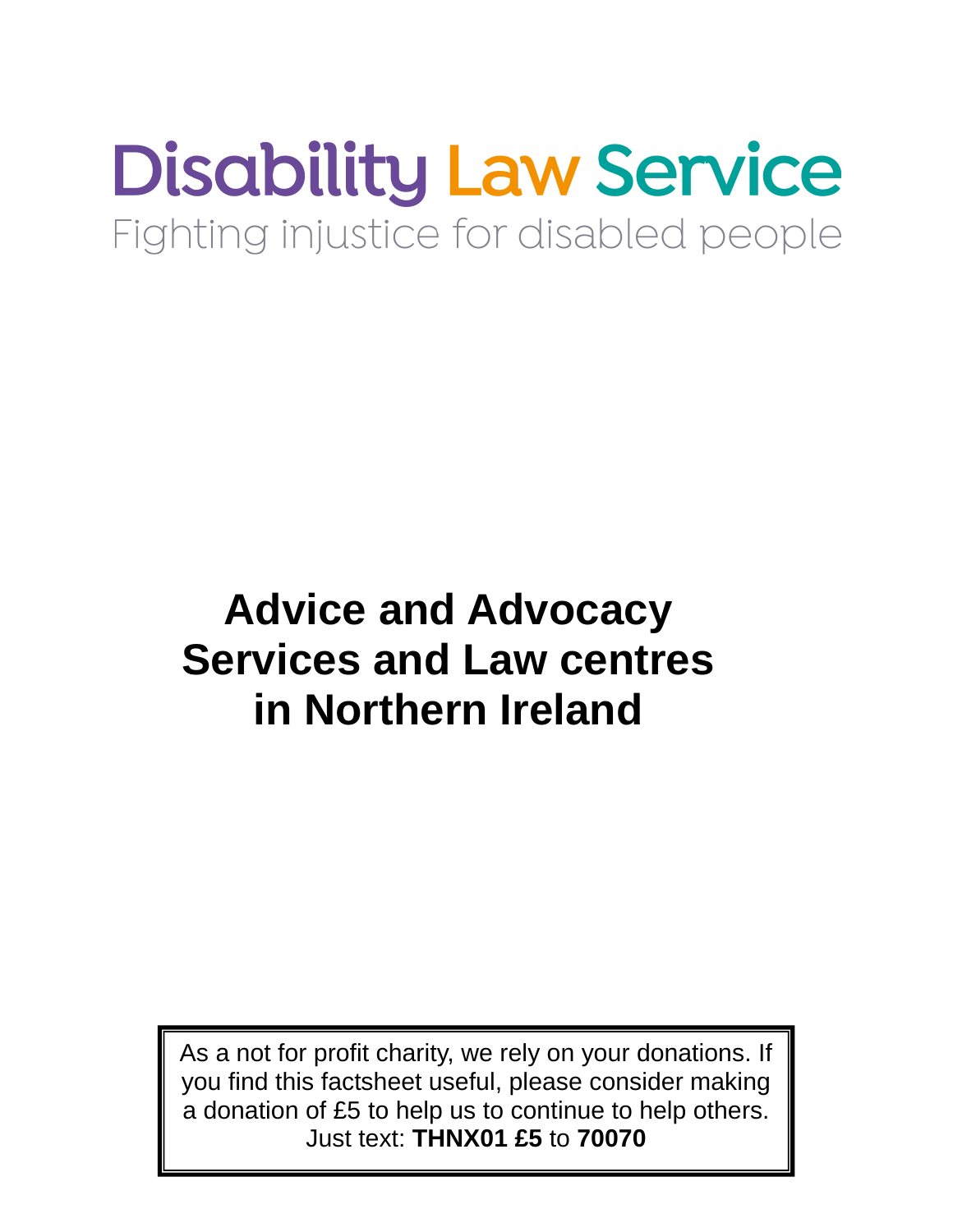# **Disability Law Service** Fighting injustice for disabled people

## **Advice and Advocacy Services and Law centres in Northern Ireland**

As a not for profit charity, we rely on your donations. If you find this factsheet useful, please consider making a donation of £5 to help us to continue to help others. Just text: **THNX01 £5** to **70070**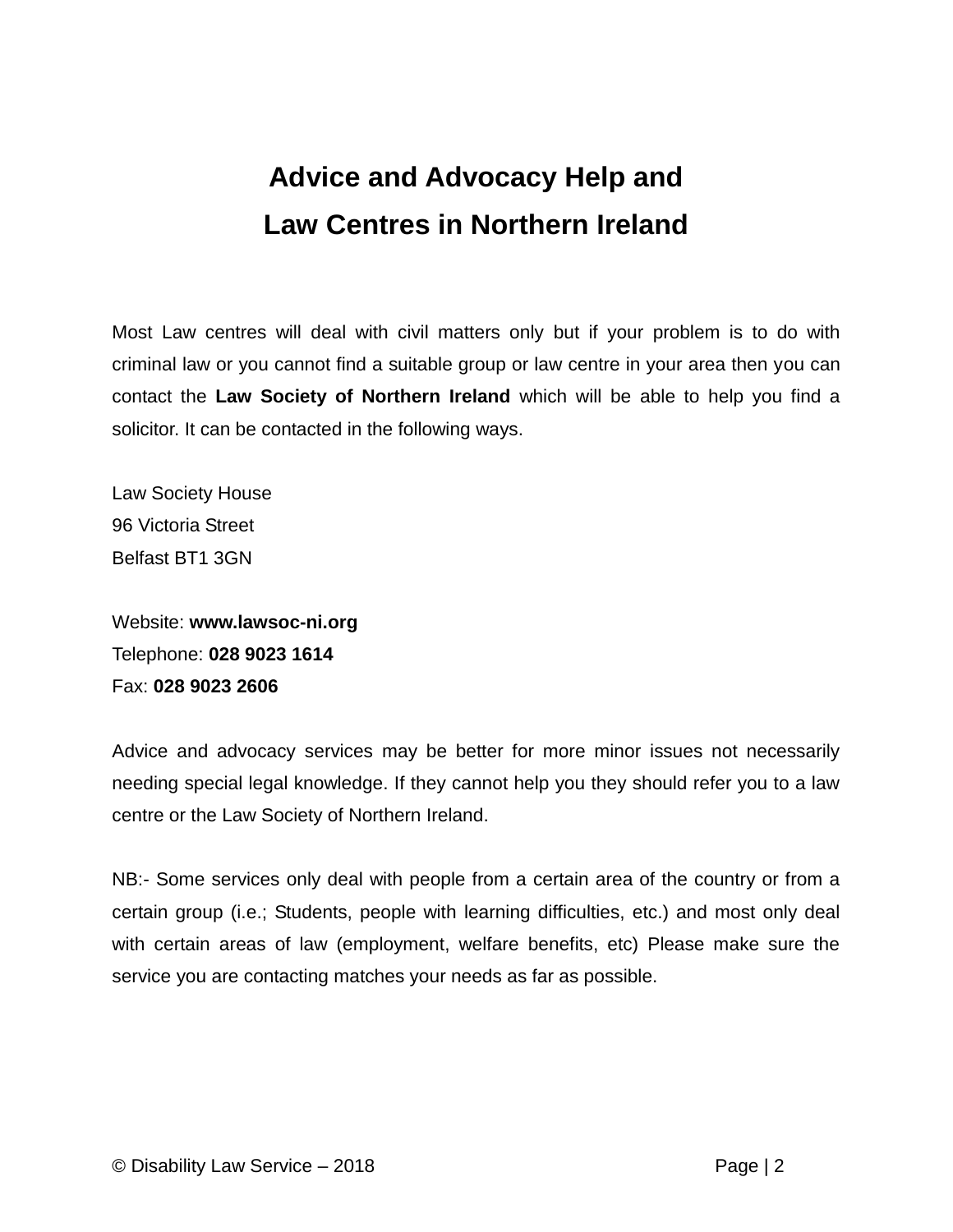## **Advice and Advocacy Help and Law Centres in Northern Ireland**

Most Law centres will deal with civil matters only but if your problem is to do with criminal law or you cannot find a suitable group or law centre in your area then you can contact the **Law Society of Northern Ireland** which will be able to help you find a solicitor. It can be contacted in the following ways.

Law Society House 96 Victoria Street Belfast BT1 3GN

Website: **www.lawsoc-ni.org** Telephone: **028 9023 1614** Fax: **028 9023 2606**

Advice and advocacy services may be better for more minor issues not necessarily needing special legal knowledge. If they cannot help you they should refer you to a law centre or the Law Society of Northern Ireland.

NB:- Some services only deal with people from a certain area of the country or from a certain group (i.e.; Students, people with learning difficulties, etc.) and most only deal with certain areas of law (employment, welfare benefits, etc) Please make sure the service you are contacting matches your needs as far as possible.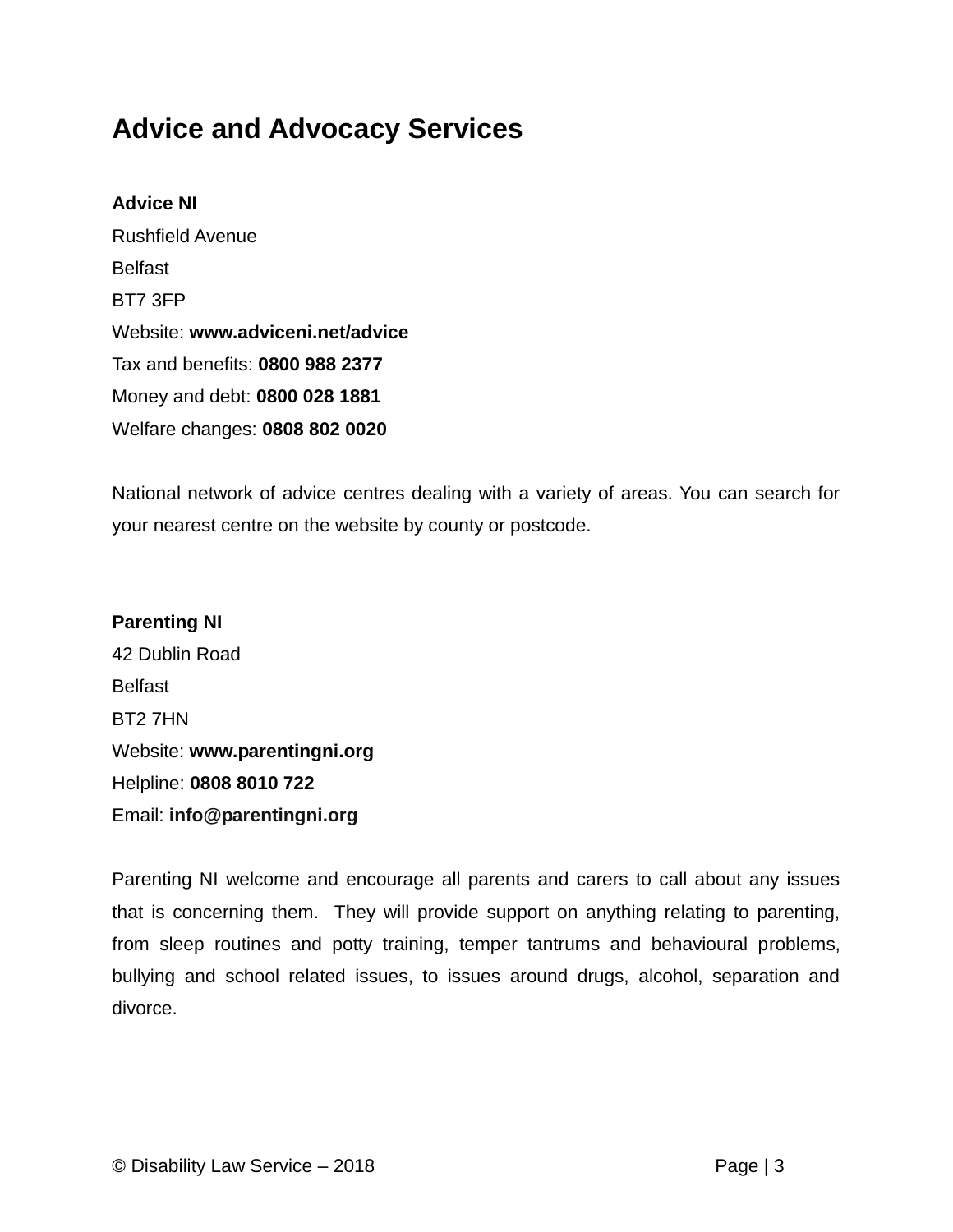## **Advice and Advocacy Services**

## **Advice NI** Rushfield Avenue Belfast BT7 3FP Website: **www.adviceni.net/advice** Tax and benefits: **0800 988 2377** Money and debt: **0800 028 1881** Welfare changes: **0808 802 0020**

National network of advice centres dealing with a variety of areas. You can search for your nearest centre on the website by county or postcode.

### **Parenting NI**  42 Dublin Road Belfast BT2 7HN Website: **www.parentingni.org** Helpline: **0808 8010 722** Email: **info@parentingni.org**

Parenting NI welcome and encourage all parents and carers to call about any issues that is concerning them. They will provide support on anything relating to parenting, from sleep routines and potty training, temper tantrums and behavioural problems, bullying and school related issues, to issues around drugs, alcohol, separation and divorce.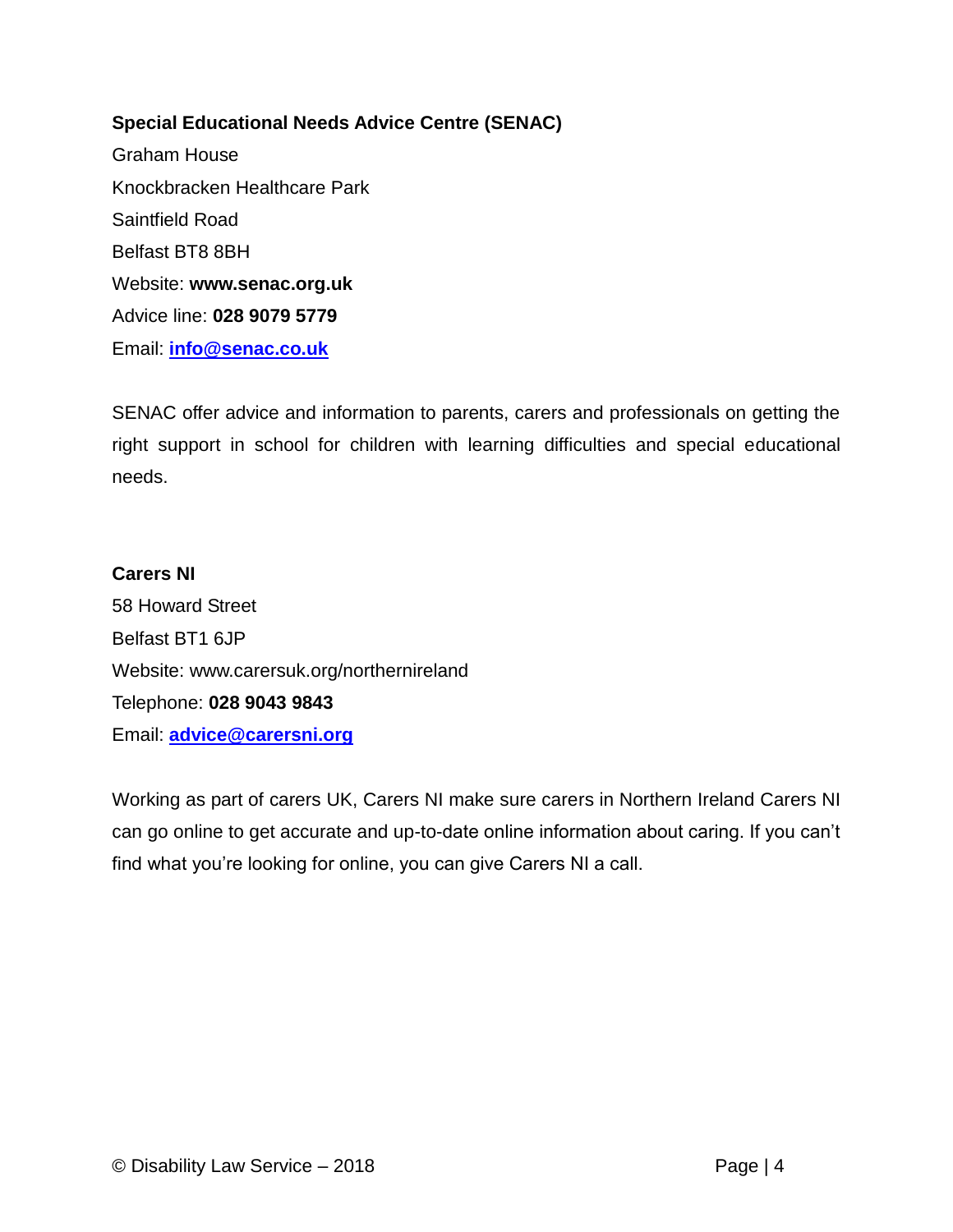#### **Special Educational Needs Advice Centre (SENAC)**

Graham House Knockbracken Healthcare Park Saintfield Road Belfast BT8 8BH Website: **www.senac.org.uk** Advice line: **028 9079 5779** Email: **[info@senac.co.uk](mailto:info@senac.co.uk)**

SENAC offer advice and information to parents, carers and professionals on getting the right support in school for children with learning difficulties and special educational needs.

## **Carers NI** 58 Howard Street Belfast BT1 6JP Website: www.carersuk.org/northernireland Telephone: **028 9043 9843** Email: **[advice@carersni.org](mailto:advice@carersni.org)**

Working as part of carers UK, Carers NI make sure carers in Northern Ireland Carers NI can go online to get accurate and up-to-date online information about caring. If you can't find what you're looking for online, you can give Carers NI a call.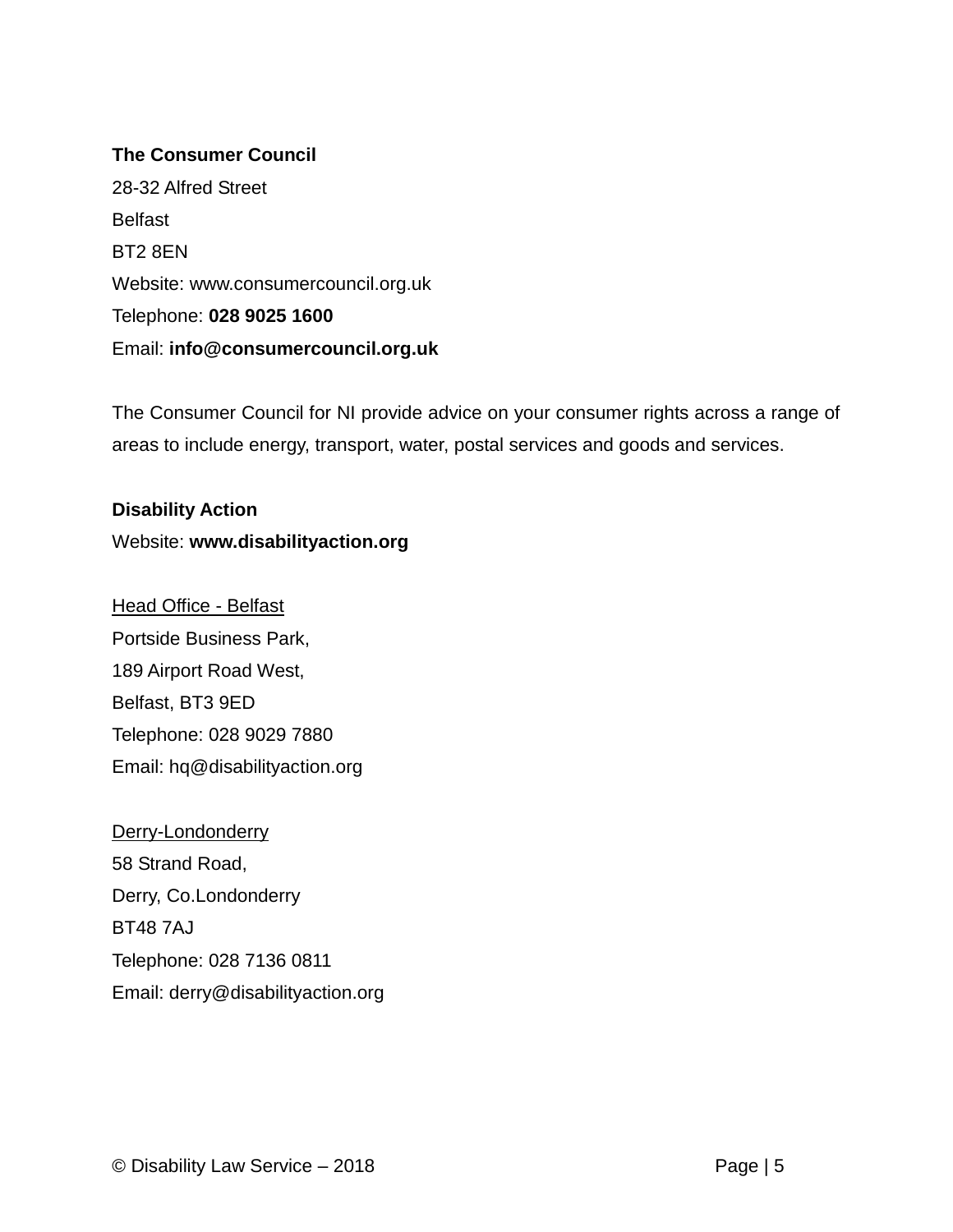#### **The Consumer Council**

28-32 Alfred Street Belfast BT2 8EN Website: www.consumercouncil.org.uk Telephone: **028 9025 1600** Email: **[info@consumercouncil.org.uk](mailto:info@consumercouncil.org.uk)**

The Consumer Council for NI provide advice on your consumer rights across a range of areas to include energy, transport, water, postal services and goods and services.

**Disability Action** Website: **www.disabilityaction.org**

Head Office - Belfast Portside Business Park, 189 Airport Road West, Belfast, BT3 9ED Telephone: 028 9029 7880 Email: hq@disabilityaction.org

Derry-Londonderry 58 Strand Road, Derry, Co.Londonderry BT48 7AJ Telephone: 028 7136 0811 Email: derry@disabilityaction.org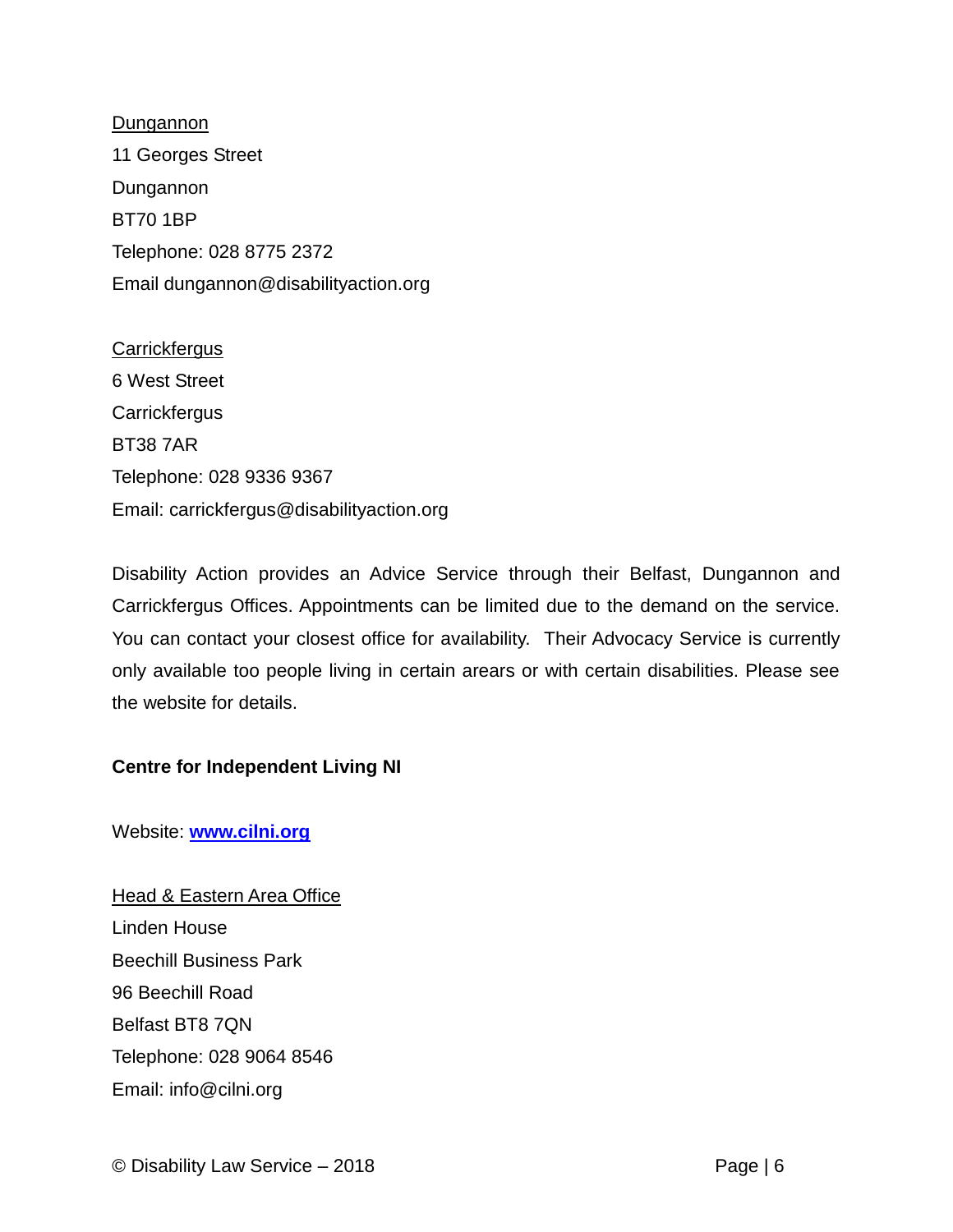**Dungannon** 11 Georges Street Dungannon BT70 1BP Telephone: 028 8775 2372 Email dungannon@disabilityaction.org

**Carrickfergus** 6 West Street **Carrickfergus** BT38 7AR Telephone: 028 9336 9367 Email: carrickfergus@disabilityaction.org

Disability Action provides an Advice Service through their Belfast, Dungannon and Carrickfergus Offices. Appointments can be limited due to the demand on the service. You can contact your closest office for availability. Their Advocacy Service is currently only available too people living in certain arears or with certain disabilities. Please see the website for details.

#### **Centre for Independent Living NI**

Website: **[www.cilni.org](http://www.cilni.org/)**

**Head & Eastern Area Office** Linden House Beechill Business Park 96 Beechill Road Belfast BT8 7QN Telephone: 028 9064 8546 Email: info@cilni.org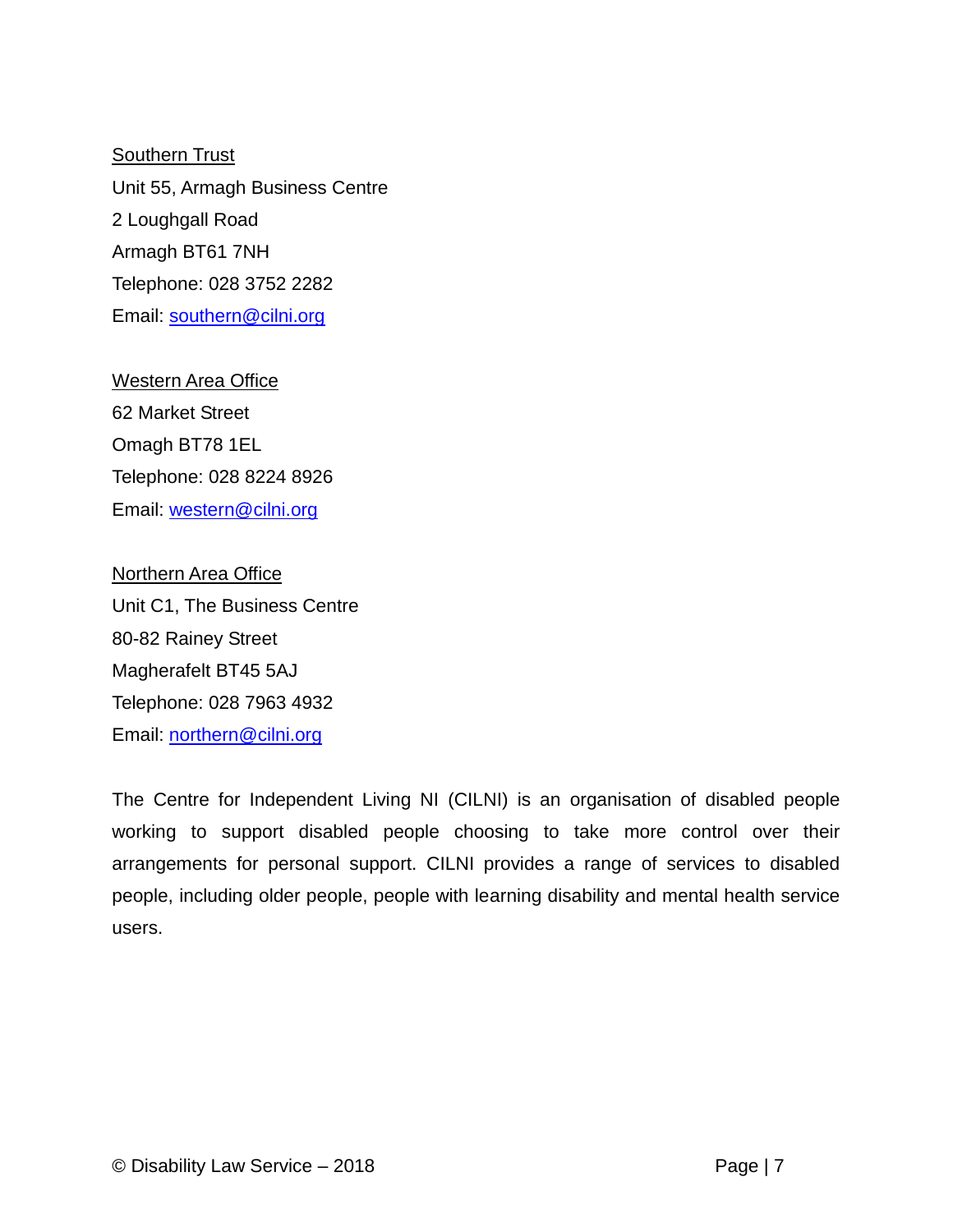**Southern Trust** Unit 55, Armagh Business Centre 2 Loughgall Road Armagh BT61 7NH Telephone: 028 3752 2282 Email: [southern@cilni.org](mailto:southern@cilni.org)

Western Area Office 62 Market Street Omagh BT78 1EL Telephone: 028 8224 8926 Email: [western@cilni.org](mailto:western@cilni.org)

Northern Area Office Unit C1, The Business Centre 80-82 Rainey Street Magherafelt BT45 5AJ Telephone: 028 7963 4932 Email: [northern@cilni.org](mailto:northern@cilni.org)

The Centre for Independent Living NI (CILNI) is an organisation of disabled people working to support disabled people choosing to take more control over their arrangements for personal support. CILNI provides a range of services to disabled people, including older people, people with learning disability and mental health service users.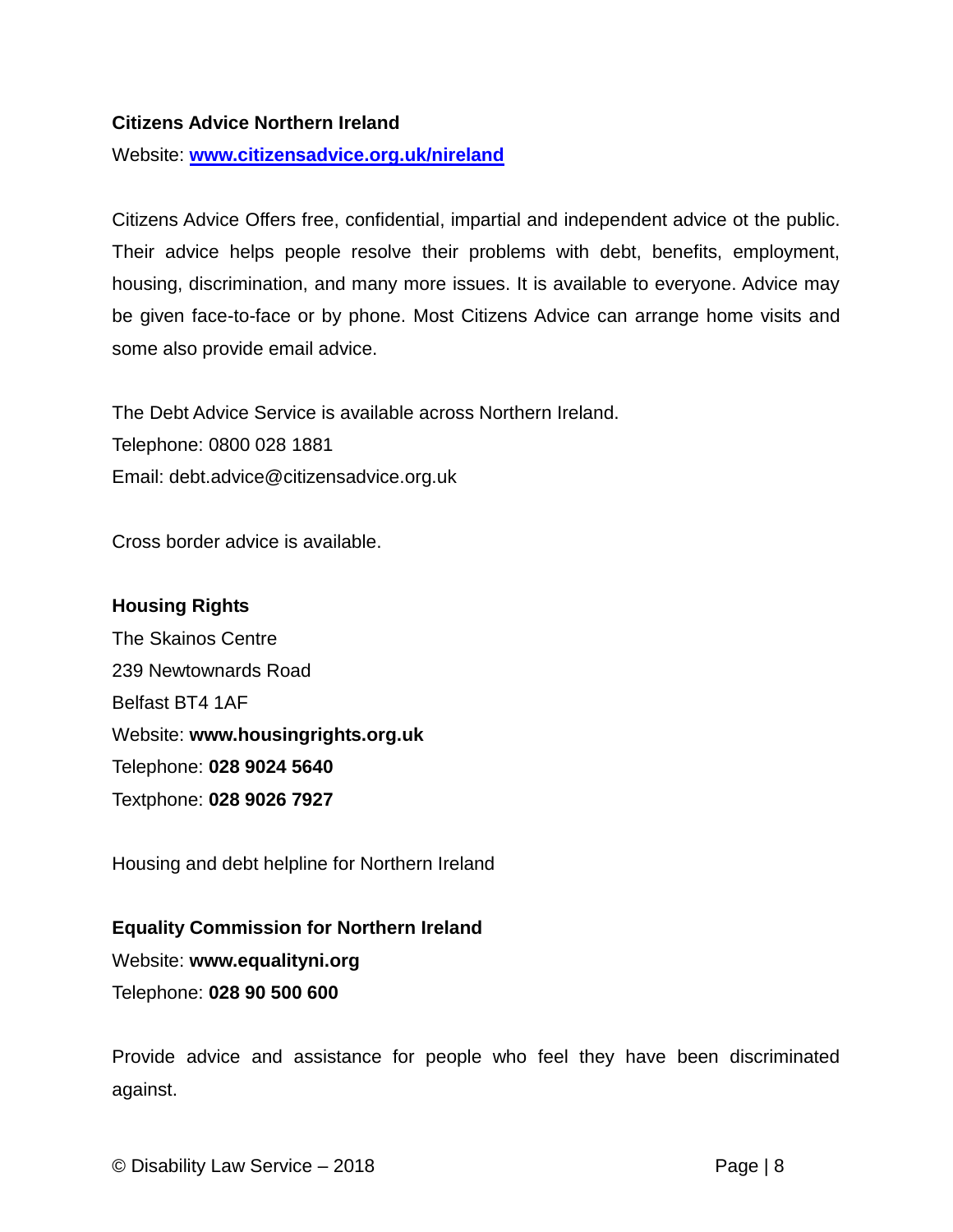#### **Citizens Advice Northern Ireland**

Website: **[www.citizensadvice.org.uk/nireland](http://www.citizensadvice.org.uk/nireland)**

Citizens Advice Offers free, confidential, impartial and independent advice ot the public. Their advice helps people resolve their problems with debt, benefits, employment, housing, discrimination, and many more issues. It is available to everyone. Advice may be given face-to-face or by phone. Most Citizens Advice can arrange home visits and some also provide email advice.

The Debt Advice Service is available across Northern Ireland. Telephone: 0800 028 1881 Email: debt.advice@citizensadvice.org.uk

Cross border advice is available.

#### **Housing Rights**

The Skainos Centre 239 Newtownards Road Belfast BT4 1AF Website: **www.housingrights.org.uk** Telephone: **028 9024 5640** Textphone: **028 9026 7927**

Housing and debt helpline for Northern Ireland

**Equality Commission for Northern Ireland** Website: **www.equalityni.org** Telephone: **028 90 500 600**

Provide advice and assistance for people who feel they have been discriminated against.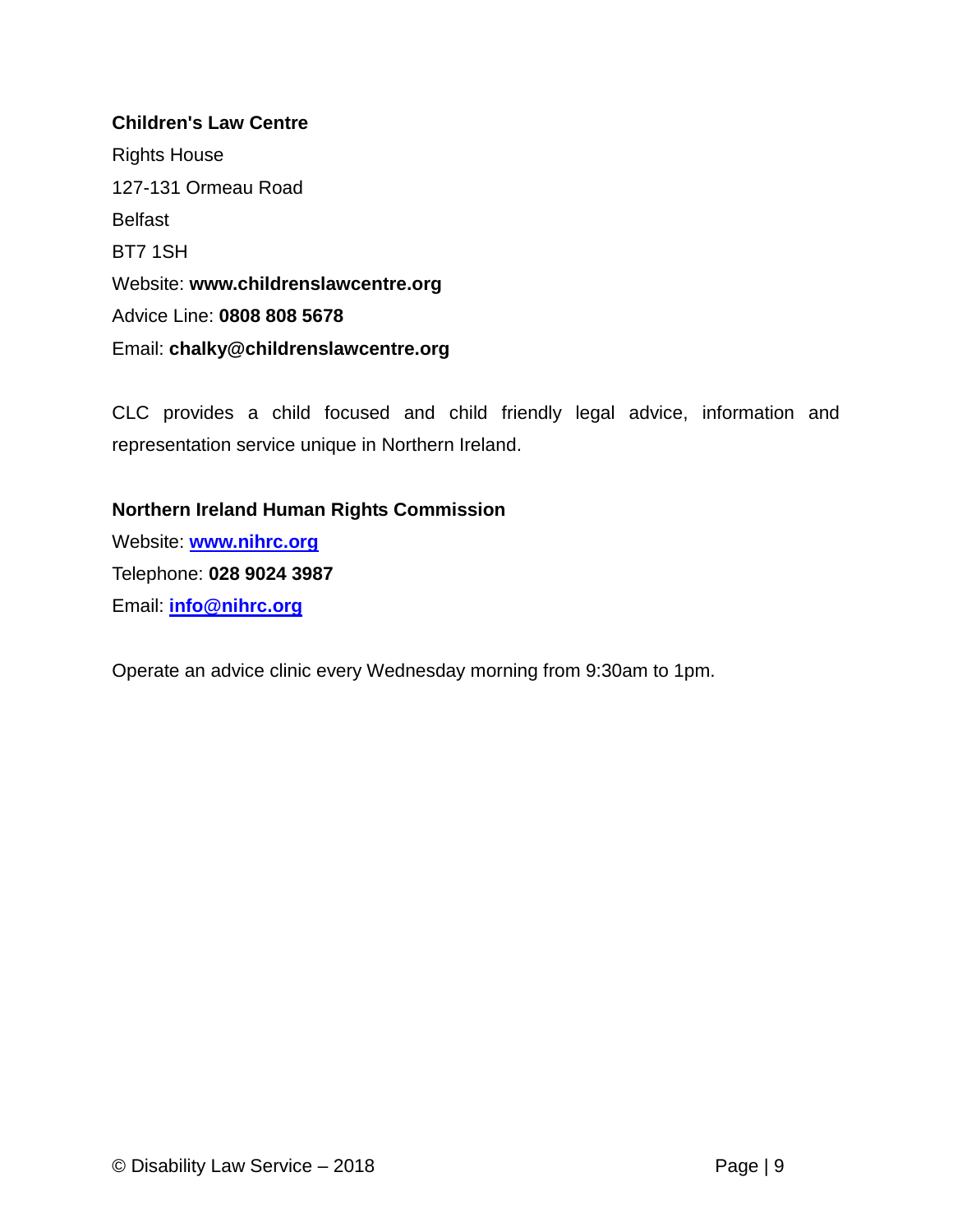## **Children's Law Centre** Rights House 127-131 Ormeau Road Belfast BT7 1SH Website: **www.childrenslawcentre.org** Advice Line: **0808 808 5678** Email: **chalky@childrenslawcentre.org**

CLC provides a child focused and child friendly legal advice, information and representation service unique in Northern Ireland.

#### **Northern Ireland Human Rights Commission**

Website: **[www.nihrc.org](http://www.nihrc.org/)** Telephone: **028 9024 3987** Email: **[info@nihrc.org](mailto:info@nihrc.org)**

Operate an advice clinic every Wednesday morning from 9:30am to 1pm.